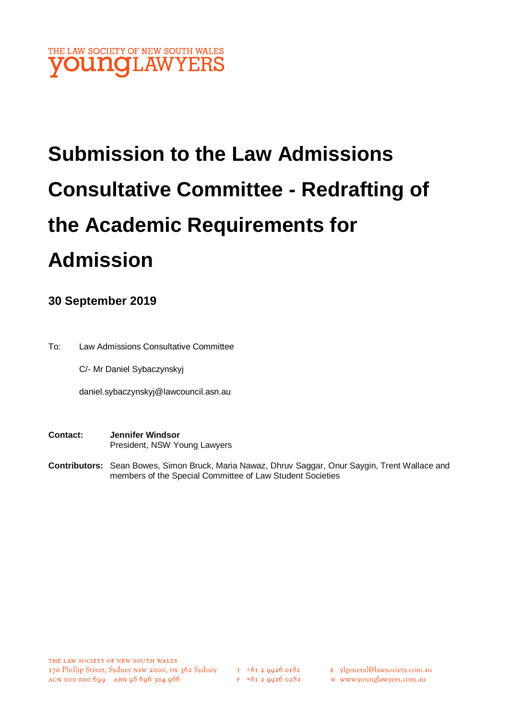

# **Submission to the Law Admissions Consultative Committee - Redrafting of the Academic Requirements for Admission**

# **30 September 2019**

To: Law Admissions Consultative Committee

C/- Mr Daniel Sybaczynskyj

daniel.sybaczynskyj@lawcouncil.asn.au

- **Contact: Jennifer Windsor**  President, NSW Young Lawyers
- **Contributors:** Sean Bowes, Simon Bruck, Maria Nawaz, Dhruv Saggar, Onur Saygin, Trent Wallace and members of the Special Committee of Law Student Societies

- E ylgeneral@lawsociety.com.au
- w www.younglawyers.com.au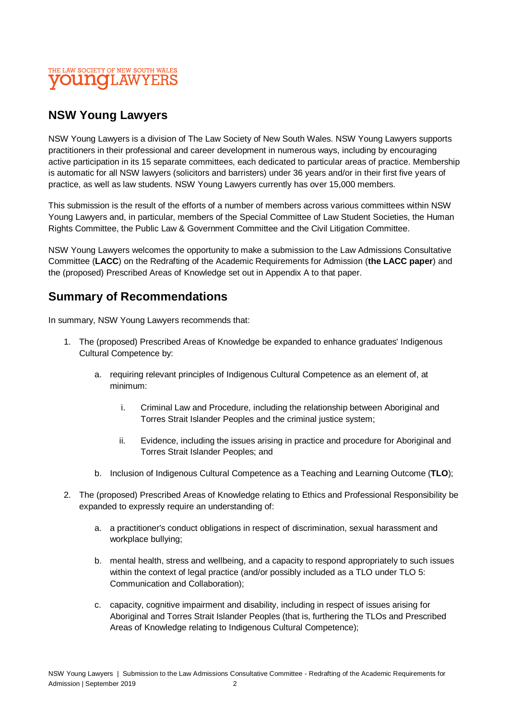### THE LAW SOCIETY OF NEW SOUTH WALES **OUNGLAWYEI**

# **NSW Young Lawyers**

NSW Young Lawyers is a division of The Law Society of New South Wales. NSW Young Lawyers supports practitioners in their professional and career development in numerous ways, including by encouraging active participation in its 15 separate committees, each dedicated to particular areas of practice. Membership is automatic for all NSW lawyers (solicitors and barristers) under 36 years and/or in their first five years of practice, as well as law students. NSW Young Lawyers currently has over 15,000 members.

This submission is the result of the efforts of a number of members across various committees within NSW Young Lawyers and, in particular, members of the Special Committee of Law Student Societies, the Human Rights Committee, the Public Law & Government Committee and the Civil Litigation Committee.

NSW Young Lawyers welcomes the opportunity to make a submission to the Law Admissions Consultative Committee (**LACC**) on the Redrafting of the Academic Requirements for Admission (**the LACC paper**) and the (proposed) Prescribed Areas of Knowledge set out in Appendix A to that paper.

# **Summary of Recommendations**

In summary, NSW Young Lawyers recommends that:

- 1. The (proposed) Prescribed Areas of Knowledge be expanded to enhance graduates' Indigenous Cultural Competence by:
	- a. requiring relevant principles of Indigenous Cultural Competence as an element of, at minimum:
		- i. Criminal Law and Procedure, including the relationship between Aboriginal and Torres Strait Islander Peoples and the criminal justice system;
		- ii. Evidence, including the issues arising in practice and procedure for Aboriginal and Torres Strait Islander Peoples; and
	- b. Inclusion of Indigenous Cultural Competence as a Teaching and Learning Outcome (**TLO**);
- 2. The (proposed) Prescribed Areas of Knowledge relating to Ethics and Professional Responsibility be expanded to expressly require an understanding of:
	- a. a practitioner's conduct obligations in respect of discrimination, sexual harassment and workplace bullying;
	- b. mental health, stress and wellbeing, and a capacity to respond appropriately to such issues within the context of legal practice (and/or possibly included as a TLO under TLO 5: Communication and Collaboration);
	- c. capacity, cognitive impairment and disability, including in respect of issues arising for Aboriginal and Torres Strait Islander Peoples (that is, furthering the TLOs and Prescribed Areas of Knowledge relating to Indigenous Cultural Competence);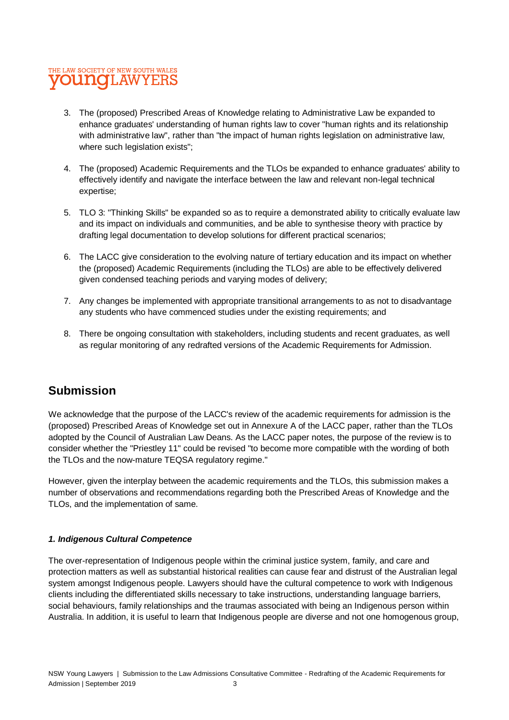## THE LAW SOCIETY OF NEW SOUTH WALES **OUNGLAWYERS**

- 3. The (proposed) Prescribed Areas of Knowledge relating to Administrative Law be expanded to enhance graduates' understanding of human rights law to cover "human rights and its relationship with administrative law", rather than "the impact of human rights legislation on administrative law, where such legislation exists";
- 4. The (proposed) Academic Requirements and the TLOs be expanded to enhance graduates' ability to effectively identify and navigate the interface between the law and relevant non-legal technical expertise;
- 5. TLO 3: "Thinking Skills" be expanded so as to require a demonstrated ability to critically evaluate law and its impact on individuals and communities, and be able to synthesise theory with practice by drafting legal documentation to develop solutions for different practical scenarios;
- 6. The LACC give consideration to the evolving nature of tertiary education and its impact on whether the (proposed) Academic Requirements (including the TLOs) are able to be effectively delivered given condensed teaching periods and varying modes of delivery;
- 7. Any changes be implemented with appropriate transitional arrangements to as not to disadvantage any students who have commenced studies under the existing requirements; and
- 8. There be ongoing consultation with stakeholders, including students and recent graduates, as well as regular monitoring of any redrafted versions of the Academic Requirements for Admission.

# **Submission**

We acknowledge that the purpose of the LACC's review of the academic requirements for admission is the (proposed) Prescribed Areas of Knowledge set out in Annexure A of the LACC paper, rather than the TLOs adopted by the Council of Australian Law Deans. As the LACC paper notes, the purpose of the review is to consider whether the "Priestley 11" could be revised "to become more compatible with the wording of both the TLOs and the now-mature TEQSA regulatory regime."

However, given the interplay between the academic requirements and the TLOs, this submission makes a number of observations and recommendations regarding both the Prescribed Areas of Knowledge and the TLOs, and the implementation of same.

#### *1. Indigenous Cultural Competence*

The over-representation of Indigenous people within the criminal justice system, family, and care and protection matters as well as substantial historical realities can cause fear and distrust of the Australian legal system amongst Indigenous people. Lawyers should have the cultural competence to work with Indigenous clients including the differentiated skills necessary to take instructions, understanding language barriers, social behaviours, family relationships and the traumas associated with being an Indigenous person within Australia. In addition, it is useful to learn that Indigenous people are diverse and not one homogenous group,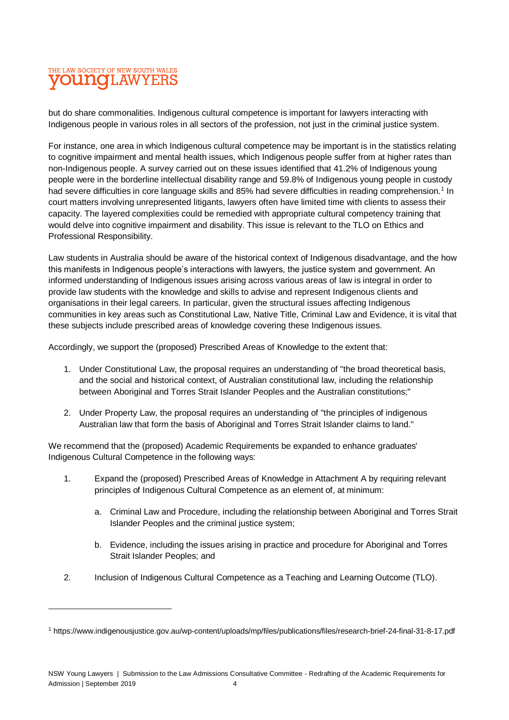# THE LAW SOCIETY OF NEW SOUTH WALES **OUNOLAWYERS**

 $\overline{a}$ 

but do share commonalities. Indigenous cultural competence is important for lawyers interacting with Indigenous people in various roles in all sectors of the profession, not just in the criminal justice system.

For instance, one area in which Indigenous cultural competence may be important is in the statistics relating to cognitive impairment and mental health issues, which Indigenous people suffer from at higher rates than non-Indigenous people. A survey carried out on these issues identified that 41.2% of Indigenous young people were in the borderline intellectual disability range and 59.8% of Indigenous young people in custody had severe difficulties in core language skills and 85% had severe difficulties in reading comprehension.<sup>1</sup> In court matters involving unrepresented litigants, lawyers often have limited time with clients to assess their capacity. The layered complexities could be remedied with appropriate cultural competency training that would delve into cognitive impairment and disability. This issue is relevant to the TLO on Ethics and Professional Responsibility.

Law students in Australia should be aware of the historical context of Indigenous disadvantage, and the how this manifests in Indigenous people's interactions with lawyers, the justice system and government. An informed understanding of Indigenous issues arising across various areas of law is integral in order to provide law students with the knowledge and skills to advise and represent Indigenous clients and organisations in their legal careers. In particular, given the structural issues affecting Indigenous communities in key areas such as Constitutional Law, Native Title, Criminal Law and Evidence, it is vital that these subjects include prescribed areas of knowledge covering these Indigenous issues.

Accordingly, we support the (proposed) Prescribed Areas of Knowledge to the extent that:

- 1. Under Constitutional Law, the proposal requires an understanding of "the broad theoretical basis, and the social and historical context, of Australian constitutional law, including the relationship between Aboriginal and Torres Strait Islander Peoples and the Australian constitutions;"
- 2. Under Property Law, the proposal requires an understanding of "the principles of indigenous Australian law that form the basis of Aboriginal and Torres Strait Islander claims to land."

We recommend that the (proposed) Academic Requirements be expanded to enhance graduates' Indigenous Cultural Competence in the following ways:

- 1. Expand the (proposed) Prescribed Areas of Knowledge in Attachment A by requiring relevant principles of Indigenous Cultural Competence as an element of, at minimum:
	- a. Criminal Law and Procedure, including the relationship between Aboriginal and Torres Strait Islander Peoples and the criminal justice system;
	- b. Evidence, including the issues arising in practice and procedure for Aboriginal and Torres Strait Islander Peoples; and
- 2. Inclusion of Indigenous Cultural Competence as a Teaching and Learning Outcome (TLO).

<sup>1</sup> https://www.indigenousjustice.gov.au/wp-content/uploads/mp/files/publications/files/research-brief-24-final-31-8-17.pdf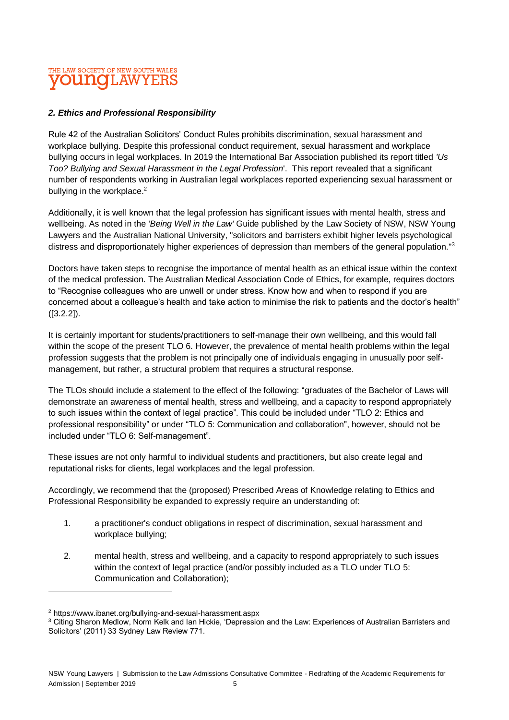## THE LAW SOCIETY OF NEW SOUTH WALES **OUINOI AW**

#### *2. Ethics and Professional Responsibility*

Rule 42 of the Australian Solicitors' Conduct Rules prohibits discrimination, sexual harassment and workplace bullying. Despite this professional conduct requirement, sexual harassment and workplace bullying occurs in legal workplaces. In 2019 the International Bar Association published its report titled *'Us Too? Bullying and Sexual Harassment in the Legal Profession*'. This report revealed that a significant number of respondents working in Australian legal workplaces reported experiencing sexual harassment or bullying in the workplace.<sup>2</sup>

Additionally, it is well known that the legal profession has significant issues with mental health, stress and wellbeing. As noted in the *'Being Well in the Law'* Guide published by the Law Society of NSW, NSW Young Lawyers and the Australian National University, "solicitors and barristers exhibit higher levels psychological distress and disproportionately higher experiences of depression than members of the general population."<sup>3</sup>

Doctors have taken steps to recognise the importance of mental health as an ethical issue within the context of the medical profession. The Australian Medical Association Code of Ethics, for example, requires doctors to "Recognise colleagues who are unwell or under stress. Know how and when to respond if you are concerned about a colleague's health and take action to minimise the risk to patients and the doctor's health" ([3.2.2]).

It is certainly important for students/practitioners to self-manage their own wellbeing, and this would fall within the scope of the present TLO 6. However, the prevalence of mental health problems within the legal profession suggests that the problem is not principally one of individuals engaging in unusually poor selfmanagement, but rather, a structural problem that requires a structural response.

The TLOs should include a statement to the effect of the following: "graduates of the Bachelor of Laws will demonstrate an awareness of mental health, stress and wellbeing, and a capacity to respond appropriately to such issues within the context of legal practice". This could be included under "TLO 2: Ethics and professional responsibility" or under "TLO 5: Communication and collaboration", however, should not be included under "TLO 6: Self-management".

These issues are not only harmful to individual students and practitioners, but also create legal and reputational risks for clients, legal workplaces and the legal profession.

Accordingly, we recommend that the (proposed) Prescribed Areas of Knowledge relating to Ethics and Professional Responsibility be expanded to expressly require an understanding of:

- 1. a practitioner's conduct obligations in respect of discrimination, sexual harassment and workplace bullying;
- 2. mental health, stress and wellbeing, and a capacity to respond appropriately to such issues within the context of legal practice (and/or possibly included as a TLO under TLO 5: Communication and Collaboration);

 $\overline{a}$ 

<sup>2</sup> https://www.ibanet.org/bullying-and-sexual-harassment.aspx

<sup>3</sup> Citing Sharon Medlow, Norm Kelk and Ian Hickie, 'Depression and the Law: Experiences of Australian Barristers and Solicitors' (2011) 33 Sydney Law Review 771.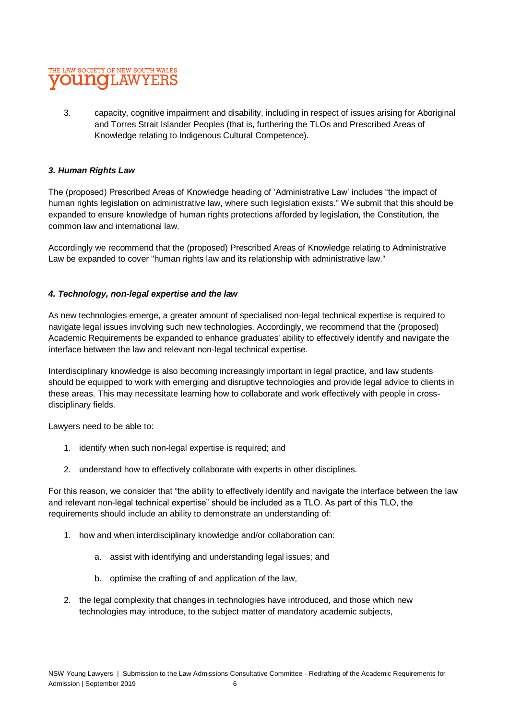# THE LAW SOCIETY OF NEW SOUTH WALES **INOLAWYEI**

3. capacity, cognitive impairment and disability, including in respect of issues arising for Aboriginal and Torres Strait Islander Peoples (that is, furthering the TLOs and Prescribed Areas of Knowledge relating to Indigenous Cultural Competence).

#### *3. Human Rights Law*

The (proposed) Prescribed Areas of Knowledge heading of 'Administrative Law' includes "the impact of human rights legislation on administrative law, where such legislation exists." We submit that this should be expanded to ensure knowledge of human rights protections afforded by legislation, the Constitution, the common law and international law.

Accordingly we recommend that the (proposed) Prescribed Areas of Knowledge relating to Administrative Law be expanded to cover "human rights law and its relationship with administrative law."

#### *4. Technology, non-legal expertise and the law*

As new technologies emerge, a greater amount of specialised non-legal technical expertise is required to navigate legal issues involving such new technologies. Accordingly, we recommend that the (proposed) Academic Requirements be expanded to enhance graduates' ability to effectively identify and navigate the interface between the law and relevant non-legal technical expertise.

Interdisciplinary knowledge is also becoming increasingly important in legal practice, and law students should be equipped to work with emerging and disruptive technologies and provide legal advice to clients in these areas. This may necessitate learning how to collaborate and work effectively with people in crossdisciplinary fields.

Lawyers need to be able to:

- 1. identify when such non-legal expertise is required; and
- 2. understand how to effectively collaborate with experts in other disciplines.

For this reason, we consider that "the ability to effectively identify and navigate the interface between the law and relevant non-legal technical expertise" should be included as a TLO. As part of this TLO, the requirements should include an ability to demonstrate an understanding of:

- 1. how and when interdisciplinary knowledge and/or collaboration can:
	- a. assist with identifying and understanding legal issues; and
	- b. optimise the crafting of and application of the law,
- 2. the legal complexity that changes in technologies have introduced, and those which new technologies may introduce, to the subject matter of mandatory academic subjects,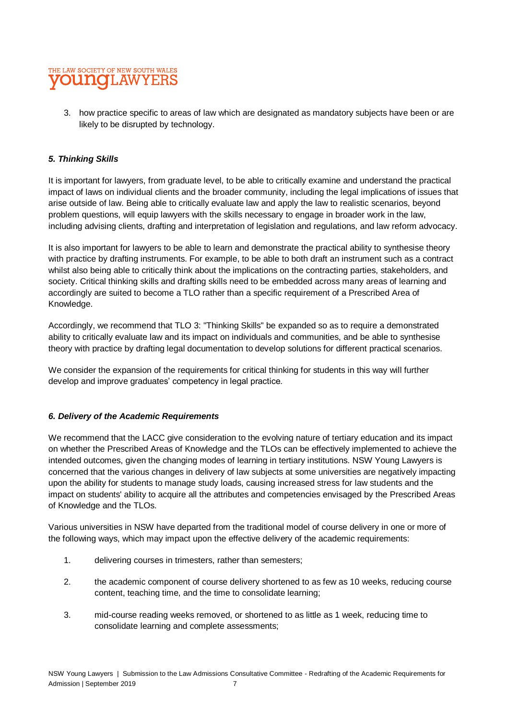# THE LAW SOCIETY OF NEW SOUTH WALES **OU NOT AWYER**

3. how practice specific to areas of law which are designated as mandatory subjects have been or are likely to be disrupted by technology.

#### *5. Thinking Skills*

It is important for lawyers, from graduate level, to be able to critically examine and understand the practical impact of laws on individual clients and the broader community, including the legal implications of issues that arise outside of law. Being able to critically evaluate law and apply the law to realistic scenarios, beyond problem questions, will equip lawyers with the skills necessary to engage in broader work in the law, including advising clients, drafting and interpretation of legislation and regulations, and law reform advocacy.

It is also important for lawyers to be able to learn and demonstrate the practical ability to synthesise theory with practice by drafting instruments. For example, to be able to both draft an instrument such as a contract whilst also being able to critically think about the implications on the contracting parties, stakeholders, and society. Critical thinking skills and drafting skills need to be embedded across many areas of learning and accordingly are suited to become a TLO rather than a specific requirement of a Prescribed Area of Knowledge.

Accordingly, we recommend that TLO 3: "Thinking Skills" be expanded so as to require a demonstrated ability to critically evaluate law and its impact on individuals and communities, and be able to synthesise theory with practice by drafting legal documentation to develop solutions for different practical scenarios.

We consider the expansion of the requirements for critical thinking for students in this way will further develop and improve graduates' competency in legal practice.

#### *6. Delivery of the Academic Requirements*

We recommend that the LACC give consideration to the evolving nature of tertiary education and its impact on whether the Prescribed Areas of Knowledge and the TLOs can be effectively implemented to achieve the intended outcomes, given the changing modes of learning in tertiary institutions. NSW Young Lawyers is concerned that the various changes in delivery of law subjects at some universities are negatively impacting upon the ability for students to manage study loads, causing increased stress for law students and the impact on students' ability to acquire all the attributes and competencies envisaged by the Prescribed Areas of Knowledge and the TLOs.

Various universities in NSW have departed from the traditional model of course delivery in one or more of the following ways, which may impact upon the effective delivery of the academic requirements:

- 1. delivering courses in trimesters, rather than semesters;
- 2. the academic component of course delivery shortened to as few as 10 weeks, reducing course content, teaching time, and the time to consolidate learning;
- 3. mid-course reading weeks removed, or shortened to as little as 1 week, reducing time to consolidate learning and complete assessments;